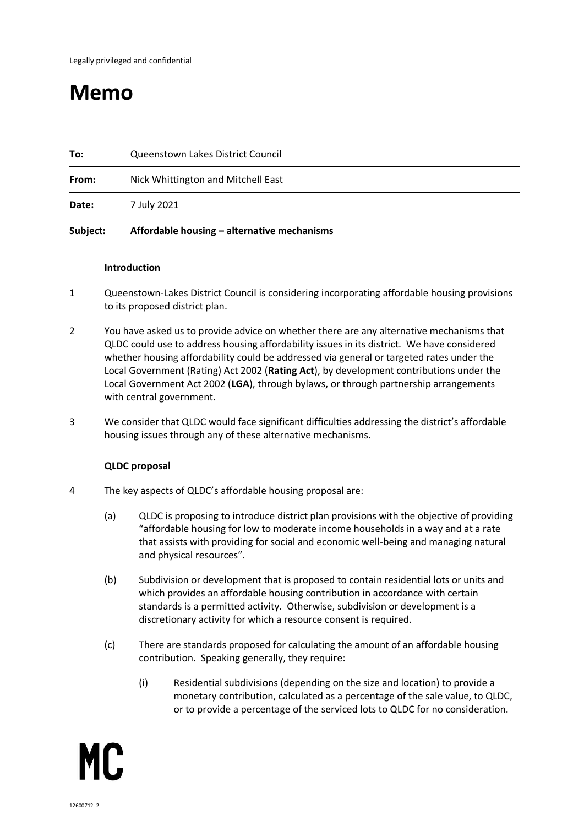# **Memo**

| Subject: | Affordable housing - alternative mechanisms |
|----------|---------------------------------------------|
| Date:    | 7 July 2021                                 |
| From:    | Nick Whittington and Mitchell East          |
| To:      | Queenstown Lakes District Council           |

#### **Introduction**

- 1 Queenstown-Lakes District Council is considering incorporating affordable housing provisions to its proposed district plan.
- 2 You have asked us to provide advice on whether there are any alternative mechanisms that QLDC could use to address housing affordability issues in its district. We have considered whether housing affordability could be addressed via general or targeted rates under the Local Government (Rating) Act 2002 (**Rating Act**), by development contributions under the Local Government Act 2002 (**LGA**), through bylaws, or through partnership arrangements with central government.
- 3 We consider that QLDC would face significant difficulties addressing the district's affordable housing issues through any of these alternative mechanisms.

## **QLDC proposal**

- 4 The key aspects of QLDC's affordable housing proposal are:
	- (a) QLDC is proposing to introduce district plan provisions with the objective of providing "affordable housing for low to moderate income households in a way and at a rate that assists with providing for social and economic well-being and managing natural and physical resources".
	- (b) Subdivision or development that is proposed to contain residential lots or units and which provides an affordable housing contribution in accordance with certain standards is a permitted activity. Otherwise, subdivision or development is a discretionary activity for which a resource consent is required.
	- (c) There are standards proposed for calculating the amount of an affordable housing contribution. Speaking generally, they require:
		- (i) Residential subdivisions (depending on the size and location) to provide a monetary contribution, calculated as a percentage of the sale value, to QLDC, or to provide a percentage of the serviced lots to QLDC for no consideration.

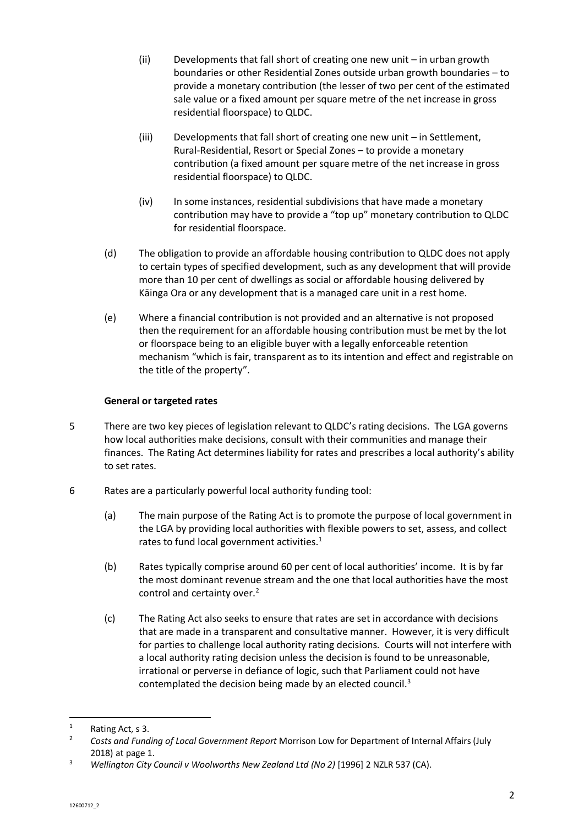- (ii) Developments that fall short of creating one new unit in urban growth boundaries or other Residential Zones outside urban growth boundaries – to provide a monetary contribution (the lesser of two per cent of the estimated sale value or a fixed amount per square metre of the net increase in gross residential floorspace) to QLDC.
- (iii) Developments that fall short of creating one new unit in Settlement, Rural-Residential, Resort or Special Zones – to provide a monetary contribution (a fixed amount per square metre of the net increase in gross residential floorspace) to QLDC.
- (iv) In some instances, residential subdivisions that have made a monetary contribution may have to provide a "top up" monetary contribution to QLDC for residential floorspace.
- (d) The obligation to provide an affordable housing contribution to QLDC does not apply to certain types of specified development, such as any development that will provide more than 10 per cent of dwellings as social or affordable housing delivered by Kāinga Ora or any development that is a managed care unit in a rest home.
- (e) Where a financial contribution is not provided and an alternative is not proposed then the requirement for an affordable housing contribution must be met by the lot or floorspace being to an eligible buyer with a legally enforceable retention mechanism "which is fair, transparent as to its intention and effect and registrable on the title of the property".

# **General or targeted rates**

- 5 There are two key pieces of legislation relevant to QLDC's rating decisions. The LGA governs how local authorities make decisions, consult with their communities and manage their finances. The Rating Act determines liability for rates and prescribes a local authority's ability to set rates.
- 6 Rates are a particularly powerful local authority funding tool:
	- (a) The main purpose of the Rating Act is to promote the purpose of local government in the LGA by providing local authorities with flexible powers to set, assess, and collect rates to fund local government activities. $1$
	- (b) Rates typically comprise around 60 per cent of local authorities' income. It is by far the most dominant revenue stream and the one that local authorities have the most control and certainty over.<sup>2</sup>
	- (c) The Rating Act also seeks to ensure that rates are set in accordance with decisions that are made in a transparent and consultative manner. However, it is very difficult for parties to challenge local authority rating decisions. Courts will not interfere with a local authority rating decision unless the decision is found to be unreasonable, irrational or perverse in defiance of logic, such that Parliament could not have contemplated the decision being made by an elected council.<sup>3</sup>

<sup>&</sup>lt;sup>1</sup> Rating Act, s 3.<br>2 Gasts and Fund

<sup>2</sup> *Costs and Funding of Local Government Report* Morrison Low for Department of Internal Affairs (July 2018) at page 1.

<sup>3</sup> *Wellington City Council v Woolworths New Zealand Ltd (No 2)* [1996] 2 NZLR 537 (CA).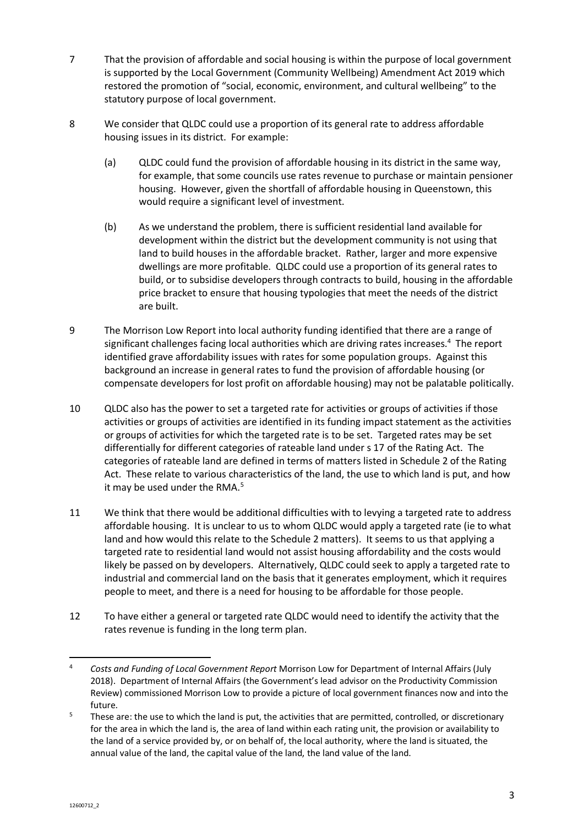- 7 That the provision of affordable and social housing is within the purpose of local government is supported by the Local Government (Community Wellbeing) Amendment Act 2019 which restored the promotion of "social, economic, environment, and cultural wellbeing" to the statutory purpose of local government.
- 8 We consider that QLDC could use a proportion of its general rate to address affordable housing issues in its district. For example:
	- (a) QLDC could fund the provision of affordable housing in its district in the same way, for example, that some councils use rates revenue to purchase or maintain pensioner housing. However, given the shortfall of affordable housing in Queenstown, this would require a significant level of investment.
	- (b) As we understand the problem, there is sufficient residential land available for development within the district but the development community is not using that land to build houses in the affordable bracket. Rather, larger and more expensive dwellings are more profitable. QLDC could use a proportion of its general rates to build, or to subsidise developers through contracts to build, housing in the affordable price bracket to ensure that housing typologies that meet the needs of the district are built.
- 9 The Morrison Low Report into local authority funding identified that there are a range of significant challenges facing local authorities which are driving rates increases.<sup>4</sup> The report identified grave affordability issues with rates for some population groups. Against this background an increase in general rates to fund the provision of affordable housing (or compensate developers for lost profit on affordable housing) may not be palatable politically.
- 10 QLDC also has the power to set a targeted rate for activities or groups of activities if those activities or groups of activities are identified in its funding impact statement as the activities or groups of activities for which the targeted rate is to be set. Targeted rates may be set differentially for different categories of rateable land under s 17 of the Rating Act. The categories of rateable land are defined in terms of matters listed in Schedule 2 of the Rating Act. These relate to various characteristics of the land, the use to which land is put, and how it may be used under the RMA.<sup>5</sup>
- 11 We think that there would be additional difficulties with to levying a targeted rate to address affordable housing. It is unclear to us to whom QLDC would apply a targeted rate (ie to what land and how would this relate to the Schedule 2 matters). It seems to us that applying a targeted rate to residential land would not assist housing affordability and the costs would likely be passed on by developers. Alternatively, QLDC could seek to apply a targeted rate to industrial and commercial land on the basis that it generates employment, which it requires people to meet, and there is a need for housing to be affordable for those people.
- 12 To have either a general or targeted rate QLDC would need to identify the activity that the rates revenue is funding in the long term plan.

<sup>4</sup> *Costs and Funding of Local Government Report* Morrison Low for Department of Internal Affairs (July 2018). Department of Internal Affairs (the Government's lead advisor on the Productivity Commission Review) commissioned Morrison Low to provide a picture of local government finances now and into the future.

<sup>&</sup>lt;sup>5</sup> These are: the use to which the land is put, the activities that are permitted, controlled, or discretionary for the area in which the land is, the area of land within each rating unit, the provision or availability to the land of a service provided by, or on behalf of, the local authority, where the land is situated, the annual value of the land, the capital value of the land, the land value of the land.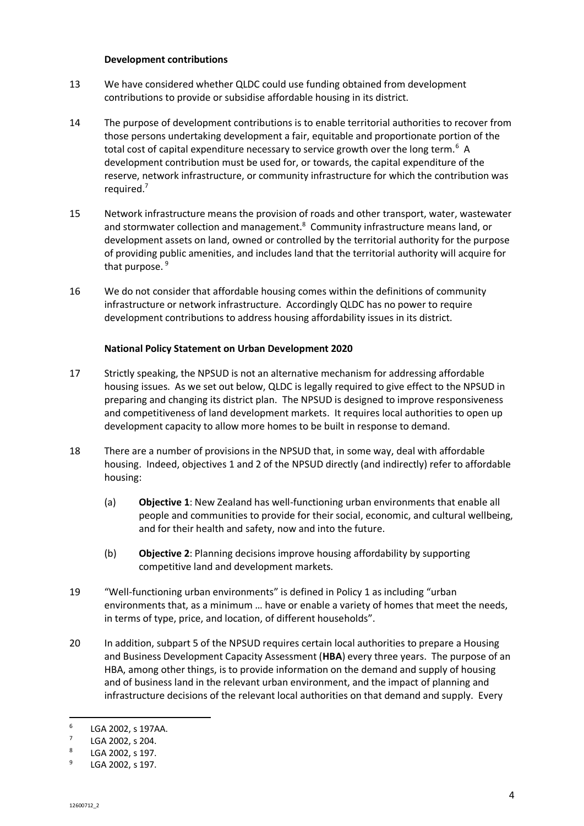#### **Development contributions**

- 13 We have considered whether QLDC could use funding obtained from development contributions to provide or subsidise affordable housing in its district.
- 14 The purpose of development contributions is to enable territorial authorities to recover from those persons undertaking development a fair, equitable and proportionate portion of the total cost of capital expenditure necessary to service growth over the long term.<sup>6</sup> A development contribution must be used for, or towards, the capital expenditure of the reserve, network infrastructure, or community infrastructure for which the contribution was required. 7
- 15 Network infrastructure means the provision of roads and other transport, water, wastewater and stormwater collection and management.<sup>8</sup> Community infrastructure means land, or development assets on land, owned or controlled by the territorial authority for the purpose of providing public amenities, and includes land that the territorial authority will acquire for that purpose.<sup>9</sup>
- 16 We do not consider that affordable housing comes within the definitions of community infrastructure or network infrastructure. Accordingly QLDC has no power to require development contributions to address housing affordability issues in its district.

#### **National Policy Statement on Urban Development 2020**

- 17 Strictly speaking, the NPSUD is not an alternative mechanism for addressing affordable housing issues. As we set out below, QLDC is legally required to give effect to the NPSUD in preparing and changing its district plan. The NPSUD is designed to improve responsiveness and competitiveness of land development markets. It requires local authorities to open up development capacity to allow more homes to be built in response to demand.
- 18 There are a number of provisions in the NPSUD that, in some way, deal with affordable housing. Indeed, objectives 1 and 2 of the NPSUD directly (and indirectly) refer to affordable housing:
	- (a) **Objective 1**: New Zealand has well-functioning urban environments that enable all people and communities to provide for their social, economic, and cultural wellbeing, and for their health and safety, now and into the future.
	- (b) **Objective 2**: Planning decisions improve housing affordability by supporting competitive land and development markets.
- 19 "Well-functioning urban environments" is defined in Policy 1 as including "urban environments that, as a minimum … have or enable a variety of homes that meet the needs, in terms of type, price, and location, of different households".
- 20 In addition, subpart 5 of the NPSUD requires certain local authorities to prepare a Housing and Business Development Capacity Assessment (**HBA**) every three years. The purpose of an HBA, among other things, is to provide information on the demand and supply of housing and of business land in the relevant urban environment, and the impact of planning and infrastructure decisions of the relevant local authorities on that demand and supply. Every

<sup>6</sup> LGA 2002, s 197AA.

<sup>7</sup> LGA 2002, s 204.

<sup>8</sup> LGA 2002, s 197.

<sup>9</sup> LGA 2002, s 197.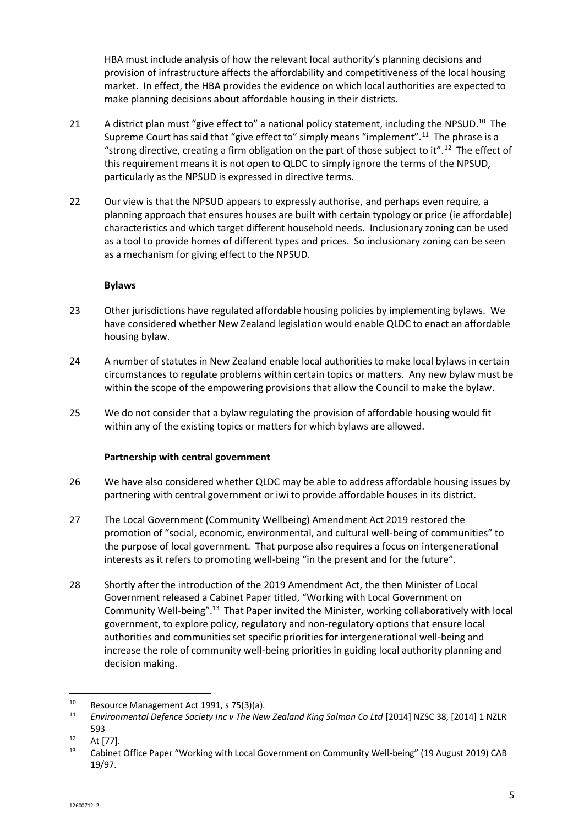HBA must include analysis of how the relevant local authority's planning decisions and provision of infrastructure affects the affordability and competitiveness of the local housing market. In effect, the HBA provides the evidence on which local authorities are expected to make planning decisions about affordable housing in their districts.

- 21 A district plan must "give effect to" a national policy statement, including the NPSUD.<sup>10</sup> The Supreme Court has said that "give effect to" simply means "implement".<sup>11</sup> The phrase is a "strong directive, creating a firm obligation on the part of those subject to it".<sup>12</sup> The effect of this requirement means it is not open to QLDC to simply ignore the terms of the NPSUD, particularly as the NPSUD is expressed in directive terms.
- 22 Our view is that the NPSUD appears to expressly authorise, and perhaps even require, a planning approach that ensures houses are built with certain typology or price (ie affordable) characteristics and which target different household needs. Inclusionary zoning can be used as a tool to provide homes of different types and prices. So inclusionary zoning can be seen as a mechanism for giving effect to the NPSUD.

## **Bylaws**

- 23 Other jurisdictions have regulated affordable housing policies by implementing bylaws. We have considered whether New Zealand legislation would enable QLDC to enact an affordable housing bylaw.
- 24 A number of statutes in New Zealand enable local authorities to make local bylaws in certain circumstances to regulate problems within certain topics or matters. Any new bylaw must be within the scope of the empowering provisions that allow the Council to make the bylaw.
- 25 We do not consider that a bylaw regulating the provision of affordable housing would fit within any of the existing topics or matters for which bylaws are allowed.

## **Partnership with central government**

- 26 We have also considered whether QLDC may be able to address affordable housing issues by partnering with central government or iwi to provide affordable houses in its district.
- 27 The Local Government (Community Wellbeing) Amendment Act 2019 restored the promotion of "social, economic, environmental, and cultural well-being of communities" to the purpose of local government. That purpose also requires a focus on intergenerational interests as it refers to promoting well-being "in the present and for the future".
- 28 Shortly after the introduction of the 2019 Amendment Act, the then Minister of Local Government released a Cabinet Paper titled, "Working with Local Government on Community Well-being".<sup>13</sup> That Paper invited the Minister, working collaboratively with local government, to explore policy, regulatory and non-regulatory options that ensure local authorities and communities set specific priorities for intergenerational well-being and increase the role of community well-being priorities in guiding local authority planning and decision making.

<sup>&</sup>lt;sup>10</sup> Resource Management Act 1991, s 75(3)(a).<br><sup>11</sup> Environmental Defence Society Inc y The New

<sup>11</sup> *Environmental Defence Society Inc v The New Zealand King Salmon Co Ltd* [2014] NZSC 38, [2014] 1 NZLR 593

 $12$  At [77].

<sup>13</sup> Cabinet Office Paper "Working with Local Government on Community Well-being" (19 August 2019) CAB 19/97.